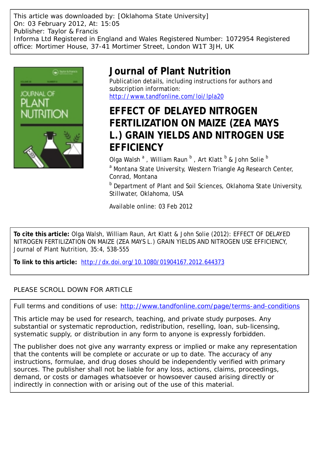This article was downloaded by: [Oklahoma State University] On: 03 February 2012, At: 15:05 Publisher: Taylor & Francis Informa Ltd Registered in England and Wales Registered Number: 1072954 Registered office: Mortimer House, 37-41 Mortimer Street, London W1T 3JH, UK



# **Journal of Plant Nutrition**

Publication details, including instructions for authors and subscription information: <http://www.tandfonline.com/loi/lpla20>

# **EFFECT OF DELAYED NITROGEN FERTILIZATION ON MAIZE (ZEA MAYS L.) GRAIN YIELDS AND NITROGEN USE EFFICIENCY**

Olga Walsh  $^{\rm a}$  , William Raun  $^{\rm b}$  , Art Klatt  $^{\rm b}$  & John Solie  $^{\rm b}$ <sup>a</sup> Montana State University, Western Triangle Ag Research Center, Conrad, Montana

**b** Department of Plant and Soil Sciences, Oklahoma State University, Stillwater, Oklahoma, USA

Available online: 03 Feb 2012

**To cite this article:** Olga Walsh, William Raun, Art Klatt & John Solie (2012): EFFECT OF DELAYED NITROGEN FERTILIZATION ON MAIZE (ZEA MAYS L.) GRAIN YIELDS AND NITROGEN USE EFFICIENCY, Journal of Plant Nutrition, 35:4, 538-555

**To link to this article:** <http://dx.doi.org/10.1080/01904167.2012.644373>

# PLEASE SCROLL DOWN FOR ARTICLE

Full terms and conditions of use:<http://www.tandfonline.com/page/terms-and-conditions>

This article may be used for research, teaching, and private study purposes. Any substantial or systematic reproduction, redistribution, reselling, loan, sub-licensing, systematic supply, or distribution in any form to anyone is expressly forbidden.

The publisher does not give any warranty express or implied or make any representation that the contents will be complete or accurate or up to date. The accuracy of any instructions, formulae, and drug doses should be independently verified with primary sources. The publisher shall not be liable for any loss, actions, claims, proceedings, demand, or costs or damages whatsoever or howsoever caused arising directly or indirectly in connection with or arising out of the use of this material.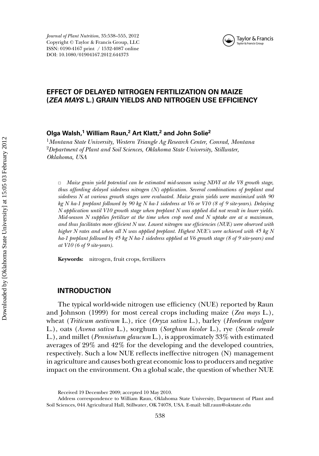

# **EFFECT OF DELAYED NITROGEN FERTILIZATION ON MAIZE (***ZEA MAYS* **L.) GRAIN YIELDS AND NITROGEN USE EFFICIENCY**

# **Olga Walsh,<sup>1</sup> William Raun,<sup>2</sup> Art Klatt,<sup>2</sup> and John Solie2**

<sup>1</sup>*Montana State University, Western Triangle Ag Research Center, Conrad, Montana* <sup>2</sup>*Department of Plant and Soil Sciences, Oklahoma State University, Stillwater, Oklahoma, USA*

✷ *Maize grain yield potential can be estimated mid-season using NDVI at the V8 growth stage, thus affording delayed sidedress nitrogen (N) application. Several combinations of preplant and sidedress N at various growth stages were evaluated. Maize grain yields were maximized with 90 kg N ha-1 preplant followed by 90 kg N ha-1 sidedress at V6 or V10 (8 of 9 site-years). Delaying N application until V10 growth stage when preplant N was applied did not result in lower yields. Mid-season N supplies fertilizer at the time when crop need and N uptake are at a maximum, and thus facilitates more efficient N use. Lowest nitrogen use efficiencies (NUE) were observed with higher N rates and when all N was applied preplant. Highest NUE's were achieved with 45 kg N ha-1 preplant followed by 45 kg N ha-1 sidedress applied at V6 growth stage (8 of 9 site-years) and at V10 (6 of 9 site-years).*

**Keywords:** nitrogen, fruit crops, fertilizers

#### **INTRODUCTION**

The typical world-wide nitrogen use efficiency (NUE) reported by Raun and Johnson (1999) for most cereal crops including maize (*Zea mays* L.), wheat (*Triticum aestivum* L.), rice (*Oryza sativa* L.), barley (*Hordeum vulgare* L.), oats (*Avena sativa* L.), sorghum (*Sorghum bicolor* L.), rye (*Secale cereale* L.), and millet (*Pennisetum glaucum* L.), is approximately 33% with estimated averages of 29% and 42% for the developing and the developed countries, respectively. Such a low NUE reflects ineffective nitrogen (N) management in agriculture and causes both great economic loss to producers and negative impact on the environment. On a global scale, the question of whether NUE

Received 19 December 2009; accepted 10 May 2010.

Address correspondence to William Raun, Oklahoma State University, Department of Plant and Soil Sciences, 044 Agricultural Hall, Stillwater, OK 74078, USA. E-mail: bill.raun@okstate.edu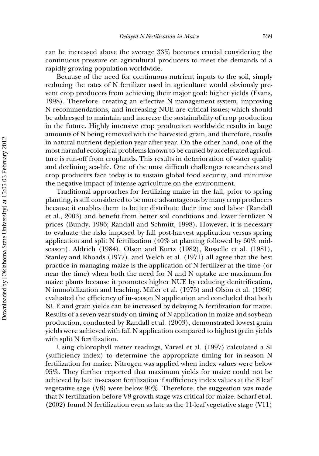can be increased above the average 33% becomes crucial considering the continuous pressure on agricultural producers to meet the demands of a rapidly growing population worldwide.

Because of the need for continuous nutrient inputs to the soil, simply reducing the rates of N fertilizer used in agriculture would obviously prevent crop producers from achieving their major goal: higher yields (Evans, 1998). Therefore, creating an effective N management system, improving N recommendations, and increasing NUE are critical issues; which should be addressed to maintain and increase the sustainability of crop production in the future. Highly intensive crop production worldwide results in large amounts of N being removed with the harvested grain, and therefore, results in natural nutrient depletion year after year. On the other hand, one of the most harmful ecological problems known to be caused by accelerated agriculture is run-off from croplands. This results in deterioration of water quality and declining sea-life. One of the most difficult challenges researchers and crop producers face today is to sustain global food security, and minimize the negative impact of intense agriculture on the environment.

Traditional approaches for fertilizing maize in the fall, prior to spring planting, is still considered to be more advantageous by many crop producers because it enables them to better distribute their time and labor (Randall et al., 2003) and benefit from better soil conditions and lower fertilizer N prices (Bundy, 1986; Randall and Schmitt, 1998). However, it is necessary to evaluate the risks imposed by fall post-harvest application versus spring application and split N fertilization (40% at planting followed by 60% midseason). Aldrich (1984), Olson and Kurtz (1982), Russelle et al. (1981), Stanley and Rhoads (1977), and Welch et al. (1971) all agree that the best practice in managing maize is the application of N fertilizer at the time (or near the time) when both the need for N and N uptake are maximum for maize plants because it promotes higher NUE by reducing denitrification, N immobilization and leaching. Miller et al. (1975) and Olson et al. (1986) evaluated the efficiency of in-season N application and concluded that both NUE and grain yields can be increased by delaying N fertilization for maize. Results of a seven-year study on timing of N application in maize and soybean production, conducted by Randall et al. (2003), demonstrated lowest grain yields were achieved with fall N application compared to highest grain yields with split N fertilization.

Using chlorophyll meter readings, Varvel et al. (1997) calculated a SI (sufficiency index) to determine the appropriate timing for in-season N fertilization for maize. Nitrogen was applied when index values were below 95%. They further reported that maximum yields for maize could not be achieved by late in-season fertilization if sufficiency index values at the 8 leaf vegetative sage (V8) were below 90%. Therefore, the suggestion was made that N fertilization before V8 growth stage was critical for maize. Scharf et al. (2002) found N fertilization even as late as the 11-leaf vegetative stage (V11)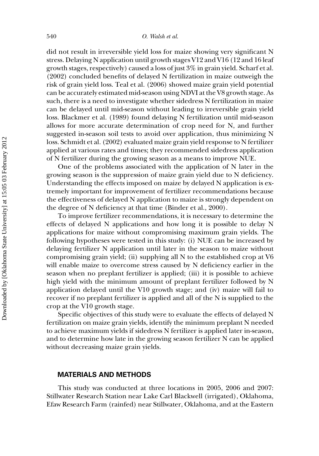did not result in irreversible yield loss for maize showing very significant N stress. Delaying N application until growth stages V12 and V16 (12 and 16 leaf growth stages, respectively) caused a loss of just 3% in grain yield. Scharf et al. (2002) concluded benefits of delayed N fertilization in maize outweigh the risk of grain yield loss. Teal et al. (2006) showed maize grain yield potential can be accurately estimated mid-season using NDVI at the V8 growth stage. As such, there is a need to investigate whether sidedress N fertilization in maize can be delayed until mid-season without leading to irreversible grain yield loss. Blackmer et al. (1989) found delaying N fertilization until mid-season allows for more accurate determination of crop need for N, and further suggested in-season soil tests to avoid over application, thus minimizing N loss. Schmidt et al. (2002) evaluated maize grain yield response to N fertilizer applied at various rates and times; they recommended sidedress application of N fertilizer during the growing season as a means to improve NUE.

One of the problems associated with the application of N later in the growing season is the suppression of maize grain yield due to N deficiency. Understanding the effects imposed on maize by delayed N application is extremely important for improvement of fertilizer recommendations because the effectiveness of delayed N application to maize is strongly dependent on the degree of N deficiency at that time (Binder et al., 2000).

To improve fertilizer recommendations, it is necessary to determine the effects of delayed N applications and how long it is possible to delay N applications for maize without compromising maximum grain yields. The following hypotheses were tested in this study: (i) NUE can be increased by delaying fertilizer N application until later in the season to maize without compromising grain yield; (ii) supplying all N to the established crop at V6 will enable maize to overcome stress caused by N deficiency earlier in the season when no preplant fertilizer is applied; (iii) it is possible to achieve high yield with the minimum amount of preplant fertilizer followed by N application delayed until the V10 growth stage; and (iv) maize will fail to recover if no preplant fertilizer is applied and all of the N is supplied to the crop at the V10 growth stage.

Specific objectives of this study were to evaluate the effects of delayed N fertilization on maize grain yields, identify the minimum preplant N needed to achieve maximum yields if sidedress N fertilizer is applied later in-season, and to determine how late in the growing season fertilizer N can be applied without decreasing maize grain yields.

# **MATERIALS AND METHODS**

This study was conducted at three locations in 2005, 2006 and 2007: Stillwater Research Station near Lake Carl Blackwell (irrigated), Oklahoma, Efaw Research Farm (rainfed) near Stillwater, Oklahoma, and at the Eastern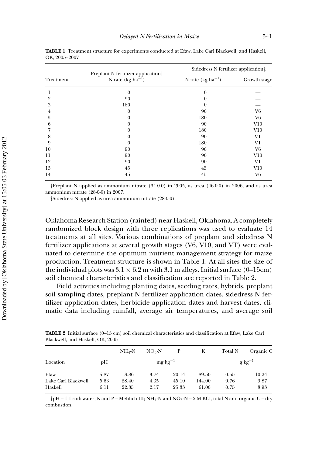|           | Preplant N fertilizer application <sup>†</sup> | Sidedress N fertilizer application: |                |  |  |
|-----------|------------------------------------------------|-------------------------------------|----------------|--|--|
| Treatment | N rate (kg $ha^{-1}$ )                         | N rate $(kg ha^{-1})$               | Growth stage   |  |  |
|           | $\theta$                                       | $\bf{0}$                            |                |  |  |
| 2         | 90                                             | 0                                   |                |  |  |
| 3         | 180                                            | $\theta$                            |                |  |  |
| 4         | 0                                              | 90                                  | V <sub>6</sub> |  |  |
| 5         | 0                                              | 180                                 | V6             |  |  |
| 6         | 0                                              | 90                                  | V10            |  |  |
|           | 0                                              | 180                                 | V10            |  |  |
| 8         | 0                                              | 90                                  | VT             |  |  |
| 9         | 0                                              | 180                                 | VT             |  |  |
| 10        | 90                                             | 90                                  | V6             |  |  |
| 11        | 90                                             | 90                                  | V10            |  |  |
| 12        | 90                                             | 90                                  | VT             |  |  |
| 13        | 45                                             | 45                                  | V10            |  |  |
| 14        | 45                                             | 45                                  | V6             |  |  |

**TABLE 1** Treatment structure for experiments conducted at Efaw, Lake Carl Blackwell, and Haskell, OK, 2005–2007

*†*Preplant N applied as ammonium nitrate (34-0-0) in 2005, as urea (46-0-0) in 2006, and as urea ammonium nitrate (28-0-0) in 2007.

*‡*Sidedress N applied as urea ammonium nitrate (28-0-0).

Oklahoma Research Station (rainfed) near Haskell, Oklahoma. A completely randomized block design with three replications was used to evaluate 14 treatments at all sites. Various combinations of preplant and sidedress N fertilizer applications at several growth stages (V6, V10, and VT) were evaluated to determine the optimum nutrient management strategy for maize production. Treatment structure is shown in Table 1. At all sites the size of the individual plots was  $3.1 \times 6.2$  m with  $3.1$  m alleys. Initial surface (0–15cm) soil chemical characteristics and classification are reported in Table 2.

Field activities including planting dates, seeding rates, hybrids, preplant soil sampling dates, preplant N fertilizer application dates, sidedress N fertilizer application dates, herbicide application dates and harvest dates, climatic data including rainfall, average air temperatures, and average soil

**TABLE 2** Initial surface (0–15 cm) soil chemical characteristics and classification at Efaw, Lake Carl Blackwell, and Haskell, OK, 2005

|                     |      | $NH_4-N$               | $NO3-N$ | Р     | Κ      | Total N     | Organic C |  |
|---------------------|------|------------------------|---------|-------|--------|-------------|-----------|--|
| Location            | рH   | $mg \, \text{kg}^{-1}$ |         |       |        | $g kg^{-1}$ |           |  |
| Efaw                | 5.87 | 13.86                  | 3.74    | 20.14 | 89.50  | 0.65        | 10.24     |  |
| Lake Carl Blackwell | 5.63 | 28.40                  | 4.35    | 45.10 | 144.00 | 0.76        | 9.87      |  |
| Haskell             | 6.11 | 22.85                  | 2.17    | 25.33 | 61.00  | 0.75        | 8.93      |  |

*†*pH – 1:1 soil: water; K and P – Mehlich III; NH4-N and NO3-N – 2 M KCl, total N and organic C – dry combustion.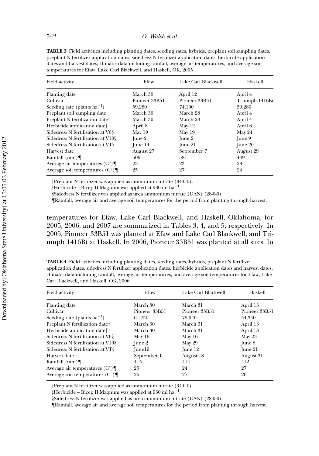| Field activity                             | Efaw          | Lake Carl Blackwell | Haskell        |  |
|--------------------------------------------|---------------|---------------------|----------------|--|
| Planting date                              | March 30      | April 12            | April 4        |  |
| Cultivar                                   | Pioneer 33B51 | Pioneer 33B51       | Triumph 1416Bt |  |
| Seeding rate (plants $ha^{-1}$ )           | 59,280        | 74,100              | 59,280         |  |
| Preplant soil sampling date                | March 30      | March 28            | April 4        |  |
| Preplant N fertilization date <sup>†</sup> | March 30      | March 28            | April 4        |  |
| Herbicide application date <sup>†</sup>    | April 8       | May 12              | April 6        |  |
| Sidedress N fertilization at V6§           | May 19        | May 19              | May 24         |  |
| Sidedress N fertilization at V108          | June 2        | June 2              | June 9         |  |
| Sidedress N fertilization at VT§           | June 14       | June 21             | June 20        |  |
| Harvest date                               | August 27     | September 7         | August 29      |  |
| Rainfall $(mm)$                            | 509           | 581                 | 449            |  |
| Average air temperatures $(C^{\circ})$     | 23            | 23                  | 23             |  |
| Average soil temperatures $(C^{\circ})\P$  | 25            | 27                  | 24             |  |

**TABLE 3** Field activities including planting dates, seeding rates, hybrids, preplant soil sampling dates, preplant N fertilizer application dates, sidedress N fertilizer application dates, herbicide application dates and harvest dates, climatic data including rainfall, average air temperatures, and average soil temperatures for Efaw, Lake Carl Blackwell, and Haskell, OK, 2005

*†*Preplant N fertilizer was applied as ammonium nitrate (34-0-0).

*‡*Herbicide – Bicep II Magnum was applied at 930 ml ha−1.

§Sidedress N fertilizer was applied as urea ammonium nitrate (UAN) (28-0-0).

¶Rainfall, average air and average soil temperatures for the period from planting through harvest.

temperatures for Efaw, Lake Carl Blackwell, and Haskell, Oklahoma, for 2005, 2006, and 2007 are summarized in Tables 3, 4, and 5, respectively. In 2005, Pioneer 33B51 was planted at Efaw and Lake Carl Blackwell, and Triumph 1416Bt at Haskell. In 2006, Pioneer 33B51 was planted at all sites. In

**TABLE 4** Field activities including planting dates, seeding rates, hybrids, preplant N fertilizer application dates, sidedress N fertilizer application dates, herbicide application dates and harvest dates, climatic data including rainfall, average air temperatures, and average soil temperatures for Efaw, Lake Carl Blackwell, and Haskell, OK, 2006

| Efaw          | Lake Carl Blackwell | Haskell          |
|---------------|---------------------|------------------|
| March 30      | March 31            | April 13         |
| Pioneer 33B51 | Pioneer 33B51       | Pioneer 33B51    |
| 61.750        | 79.040              | 54,340           |
| March 30      | March 31            | April 13         |
| March 30      | March 31            | April 13         |
| May 19        | May 16              | May 23           |
| June 2        | May 29              | $\lceil$ une $8$ |
| $[$ une $19$  | June 12             | $\lceil$ une 21  |
| September 1   | August 18           | August 31        |
| 415           | 414                 | 412              |
| 25            | 24                  | 27               |
| 26            | 27                  | 26               |
|               |                     |                  |

*†*Preplant N fertilizer was applied as ammonium nitrate (34-0-0).

*‡*Herbicide – Bicep II Magnum was applied at 930 ml ha−1.

§Sidedress N fertilizer was applied as urea ammonium nitrate (UAN) (28-0-0).

¶Rainfall, average air and average soil temperatures for the period from planting through harvest.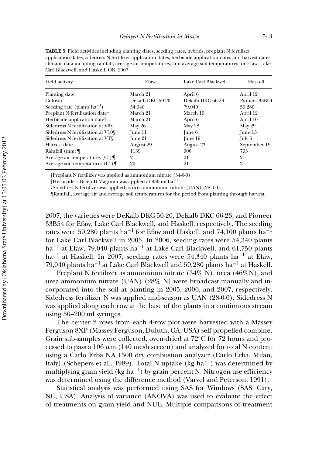| сан внаскиен, ана назкен, от, 2007 |                     |               |  |  |  |  |  |  |  |
|------------------------------------|---------------------|---------------|--|--|--|--|--|--|--|
| Efaw                               | Lake Carl Blackwell | Haskell       |  |  |  |  |  |  |  |
| March 21                           | April 6             | April 12      |  |  |  |  |  |  |  |
| Dekalb DKC 50-20                   | Dekalb DKC 66-23    | Pioneer 33B54 |  |  |  |  |  |  |  |
| 54,340                             | 79,040              | 59,280        |  |  |  |  |  |  |  |
| March 21                           | March 19            | April 12      |  |  |  |  |  |  |  |
| March 21                           | April 6             | April 16      |  |  |  |  |  |  |  |
| May 26                             | May 28              | May 29        |  |  |  |  |  |  |  |
| June $11$                          | June 6              | June 13       |  |  |  |  |  |  |  |
| June 21                            | June 19             | July 5        |  |  |  |  |  |  |  |
| August 29                          | August 23           | September 19  |  |  |  |  |  |  |  |
| 1139                               | 906                 | 795           |  |  |  |  |  |  |  |
| 21                                 | 21                  | 21            |  |  |  |  |  |  |  |
| 20                                 | 21                  | 21            |  |  |  |  |  |  |  |
|                                    |                     |               |  |  |  |  |  |  |  |

**TABLE 5** Field activities including planting dates, seeding rates, hybrids, preplant N fertilizer application dates, sidedress N fertilizer application dates, herbicide application dates and harvest dates, climatic data including rainfall, average air temperatures, and average soil temperatures for Efaw, Lake Carl Blackwell, and Haskell, OK, 2007

*†*Preplant N fertilizer was applied as ammonium nitrate (34-0-0).

*‡*Herbicide – Bicep II Magnum was applied at 930 ml ha−1.

§Sidedress N fertilizer was applied as urea ammonium nitrate (UAN) (28-0-0).

¶Rainfall, average air and average soil temperatures for the period from planting through harvest.

2007, the varieties were DeKalb DKC 50-20, DeKalb DKC 66-23, and Pioneer 33B54 for Efaw, Lake Carl Blackwell, and Haskell, respectively. The seeding rates were 59,280 plants ha<sup>-1</sup> for Efaw and Haskell, and 74,100 plants ha<sup>-1</sup> for Lake Carl Blackwell in 2005. In 2006, seeding rates were 54,340 plants ha−<sup>1</sup> at Efaw, 79,040 plants ha−<sup>1</sup> at Lake Carl Blackwell, and 61,750 plants ha<sup>-1</sup> at Haskell. In 2007, seeding rates were 54,340 plants ha<sup>-1</sup> at Efaw, 79,040 plants ha−<sup>1</sup> at Lake Carl Blackwell and 59,280 plants ha−<sup>1</sup> at Haskell.

Preplant N fertilizer as ammonium nitrate  $(34\% N)$ , urea  $(46\% N)$ , and urea ammonium nitrate (UAN) (28% N) were broadcast manually and incorporated into the soil at planting in 2005, 2006, and 2007, respectively. Sidedress fertilizer N was applied mid-season as UAN (28-0-0). Sidedress N was applied along each row at the base of the plants in a continuous stream using 50–200 ml syringes.

The center 2 rows from each 4-row plot were harvested with a Massey Ferguson 8XP (Massey Ferguson, Duluth, GA, USA) self-propelled combine. Grain sub-samples were collected, oven-dried at 72◦C for 72 hours and processed to pass a  $106 \mu m$  (140 mesh screen) and analyzed for total N content using a Carlo Erba NA 1500 dry combustion analyzer (Carlo Erba, Milan, Italy) (Schepers et al., 1989). Total N uptake (kg ha−1) was determined by multiplying grain yield (kg ha<sup>-1</sup>) by grain percent N. Nitrogen use efficiency was determined using the difference method (Varvel and Peterson, 1991).

Statistical analysis was performed using SAS for Windows (SAS, Cary, NC, USA). Analysis of variance (ANOVA) was used to evaluate the effect of treatments on grain yield and NUE. Multiple comparisons of treatment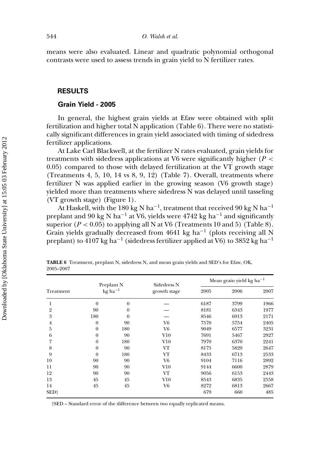means were also evaluated. Linear and quadratic polynomial orthogonal contrasts were used to assess trends in grain yield to N fertilizer rates.

# **RESULTS**

#### **Grain Yield - 2005**

In general, the highest grain yields at Efaw were obtained with split fertilization and higher total N application (Table 6). There were no statistically significant differences in grain yield associated with timing of sidedress fertilizer applications.

At Lake Carl Blackwell, at the fertilizer N rates evaluated, grain yields for treatments with sidedress applications at V6 were significantly higher (*P <* 0.05) compared to those with delayed fertilization at the VT growth stage (Treatments 4, 5, 10, 14 vs 8, 9, 12) (Table 7). Overall, treatments where fertilizer N was applied earlier in the growing season (V6 growth stage) yielded more than treatments where sidedress N was delayed until tasseling (VT growth stage) (Figure 1).

At Haskell, with the 180 kg N ha<sup>-1</sup>, treatment that received 90 kg N ha<sup>-1</sup> preplant and 90 kg N ha<sup>-1</sup> at V6, yields were 4742 kg ha<sup>-1</sup> and significantly superior  $(P < 0.05)$  to applying all N at V6 (Treatments 10 and 5) (Table 8). Grain yields gradually decreased from 4641 kg ha−<sup>1</sup> (plots receiving all N preplant) to 4107 kg ha<sup>-1</sup> (sidedress fertilizer applied at V6) to 3852 kg ha<sup>-1</sup>

|           | Preplant N<br>$kg$ ha <sup><math>-1</math></sup> |                  |                             | Mean grain yield kg ha <sup>-1</sup> |      |      |  |  |
|-----------|--------------------------------------------------|------------------|-----------------------------|--------------------------------------|------|------|--|--|
| Treatment |                                                  |                  | Sidedress N<br>growth stage | 2005                                 | 2006 | 2007 |  |  |
| 1         | $\theta$                                         | $\theta$         |                             | 6187                                 | 3799 | 1966 |  |  |
| 2         | 90                                               | $\boldsymbol{0}$ |                             | 8181                                 | 6343 | 1977 |  |  |
| 3         | 180                                              | $\theta$         |                             | 8546                                 | 6913 | 2171 |  |  |
| 4         | $\boldsymbol{0}$                                 | 90               | V6                          | 7570                                 | 5754 | 2405 |  |  |
| 5         | $\boldsymbol{0}$                                 | 180              | V6                          | 9049                                 | 6577 | 3231 |  |  |
| 6         | $\boldsymbol{0}$                                 | 90               | $_{\mathrm{V10}}$           | 7691                                 | 5467 | 2927 |  |  |
| 7         | $\theta$                                         | 180              | $_{\mathrm{V10}}$           | 7970                                 | 6370 | 2241 |  |  |
| 8         | $\theta$                                         | 90               | VT                          | 8175                                 | 5829 | 2647 |  |  |
| 9         | $\theta$                                         | 180              | VT                          | 8433                                 | 6713 | 2533 |  |  |
| 10        | 90                                               | 90               | V6                          | 9104                                 | 7116 | 2892 |  |  |
| 11        | 90                                               | 90               | $_{\rm V10}$                | 9144                                 | 6600 | 2879 |  |  |
| 12        | 90                                               | 90               | VT                          | 9056                                 | 6153 | 2443 |  |  |
| 13        | 45                                               | 45               | $_{\mathrm{V10}}$           | 8543                                 | 6835 | 2558 |  |  |
| 14        | 45                                               | 45               | V6                          | 8272                                 | 6813 | 2667 |  |  |
| SED†      |                                                  |                  |                             | 679                                  | 660  | 485  |  |  |

**TABLE 6** Treatment, preplant N, sidedress N, and mean grain yields and SED's for Efaw, OK, 2005–2007

*†*SED – Standard error of the difference between two equally replicated means.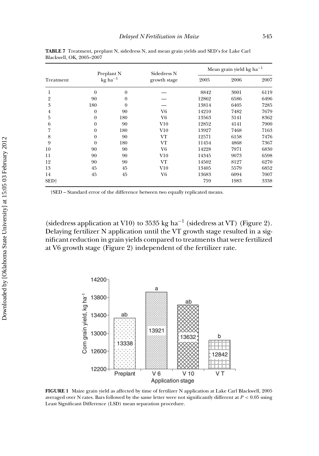| Treatment        | Preplant N     |                                    |                             | Mean grain yield kg ha <sup>-1</sup> |      |      |  |
|------------------|----------------|------------------------------------|-----------------------------|--------------------------------------|------|------|--|
|                  |                | $kg$ ha <sup><math>-1</math></sup> | Sidedress N<br>growth stage | 2005                                 | 2006 | 2007 |  |
|                  | $\theta$       | $\theta$                           |                             | 8842                                 | 3001 | 6119 |  |
| 2                | 90             | $\theta$                           |                             | 12862                                | 6586 | 6496 |  |
| 3                | 180            | $\theta$                           |                             | 13814                                | 6405 | 7285 |  |
| 4                | $\theta$       | 90                                 | V6                          | 14210                                | 7482 | 7679 |  |
| 5                | $\theta$       | 180                                | V6                          | 13563                                | 3141 | 8362 |  |
| 6                | $\theta$       | 90                                 | V10                         | 12852                                | 4141 | 7900 |  |
| 7                | $\theta$       | 180                                | V10                         | 13927                                | 7468 | 7163 |  |
| 8                | $\theta$       | 90                                 | VT                          | 12571                                | 6158 | 7476 |  |
| 9                | $\overline{0}$ | 180                                | VT                          | 11454                                | 4868 | 7367 |  |
| 10               | 90             | 90                                 | V6                          | 14228                                | 7971 | 6830 |  |
| 11               | 90             | 90                                 | $_{\rm V10}$                | 14345                                | 9073 | 6598 |  |
| 12               | 90             | 90                                 | VT                          | 14502                                | 8127 | 6270 |  |
| 13               | 45             | 45                                 | $_{\rm V10}$                | 13405                                | 5579 | 6852 |  |
| 14               | 45             | 45                                 | V6                          | 13683                                | 6094 | 7007 |  |
| SED <sup>+</sup> |                |                                    |                             | 759                                  | 1983 | 3338 |  |

**TABLE 7** Treatment, preplant N, sidedress N, and mean grain yields and SED's for Lake Carl Blackwell, OK, 2005–2007

(sidedress application at V10) to 3535 kg ha<sup>-1</sup> (sidedress at VT) (Figure 2). Delaying fertilizer N application until the VT growth stage resulted in a significant reduction in grain yields compared to treatments that were fertilized at V6 growth stage (Figure 2) independent of the fertilizer rate.



**FIGURE 1** Maize grain yield as affected by time of fertilizer N application at Lake Carl Blackwell, 2005 averaged over N rates. Bars followed by the same letter were not significantly different at *P <* 0.05 using Least Significant Difference (LSD) mean separation procedure.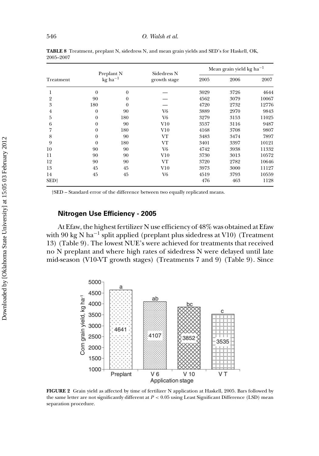|                  | Preplant N       |                       | Sidedress N       | Mean grain yield kg ha <sup>-1</sup> |      |       |  |  |
|------------------|------------------|-----------------------|-------------------|--------------------------------------|------|-------|--|--|
| Treatment        |                  | $kg$ ha <sup>-1</sup> | growth stage      | 2005                                 | 2006 | 2007  |  |  |
| 1                | $\theta$         | $\mathbf{0}$          |                   | 3029                                 | 3726 | 4644  |  |  |
| 2                | 90               | $\theta$              |                   | 4562                                 | 3079 | 10067 |  |  |
| 3                | 180              | $\Omega$              |                   | 4720                                 | 2732 | 12776 |  |  |
| $\overline{4}$   | $\boldsymbol{0}$ | 90                    | V6                | 3889                                 | 2970 | 9843  |  |  |
| 5                | $\theta$         | 180                   | V <sub>6</sub>    | 3279                                 | 3153 | 11025 |  |  |
| 6                | $\theta$         | 90                    | $_{\mathrm{V10}}$ | 3537                                 | 3116 | 9487  |  |  |
| 7                | $\theta$         | 180                   | $_{\mathrm{V10}}$ | 4168                                 | 3708 | 9807  |  |  |
| 8                | $\boldsymbol{0}$ | 90                    | VT                | 3483                                 | 3474 | 7897  |  |  |
| 9                | $\theta$         | 180                   | VT                | 3401                                 | 3397 | 10121 |  |  |
| 10               | 90               | 90                    | V <sub>6</sub>    | 4742                                 | 3938 | 11332 |  |  |
| 11               | 90               | 90                    | $_{\mathrm{V10}}$ | 3730                                 | 3013 | 10572 |  |  |
| 12               | 90               | 90                    | VT                | 3720                                 | 2782 | 10646 |  |  |
| 13               | 45               | 45                    | $_{\mathrm{V10}}$ | 3973                                 | 3000 | 11127 |  |  |
| 14               | 45               | 45                    | V <sub>6</sub>    | 4519                                 | 3793 | 10559 |  |  |
| SED <sup>+</sup> |                  |                       |                   | 476                                  | 463  | 1128  |  |  |

**TABLE 8** Treatment, preplant N, sidedress N, and mean grain yields and SED's for Haskell, OK, 2005–2007

# **Nitrogen Use Efficiency - 2005**

At Efaw, the highest fertilizer N use efficiency of 48% was obtained at Efaw with 90 kg N ha<sup>-1</sup> split applied (preplant plus sidedress at V10) (Treatment 13) (Table 9). The lowest NUE's were achieved for treatments that received no N preplant and where high rates of sidedress N were delayed until late mid-season (V10-VT growth stages) (Treatments 7 and 9) (Table 9). Since



**FIGURE 2** Grain yield as affected by time of fertilizer N application at Haskell, 2005. Bars followed by the same letter are not significantly different at *P <* 0.05 using Least Significant Difference (LSD) mean separation procedure.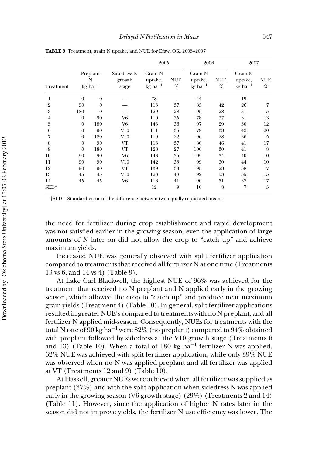| Treatment        |                                                     |                |                                | 2005                                        |           | 2006                                                     |           | 2007                                                     |           |  |
|------------------|-----------------------------------------------------|----------------|--------------------------------|---------------------------------------------|-----------|----------------------------------------------------------|-----------|----------------------------------------------------------|-----------|--|
|                  | Preplant<br>N<br>$kg$ ha <sup><math>-1</math></sup> |                | Sidedress N<br>growth<br>stage | Grain N<br>uptake,<br>$kg$ ha <sup>-1</sup> | NUE,<br>% | Grain N<br>uptake,<br>$kg$ ha <sup><math>-1</math></sup> | NUE,<br>% | Grain N<br>uptake,<br>$kg$ ha <sup><math>-1</math></sup> | NUE,<br>% |  |
| 1                | $\theta$                                            | $\overline{0}$ |                                | 78                                          |           | 44                                                       |           | 19                                                       |           |  |
| $\overline{2}$   | 90                                                  | $\theta$       |                                | 113                                         | 37        | 83                                                       | 42        | 26                                                       | 7         |  |
| 3                | 180                                                 | $\theta$       |                                | 129                                         | 28        | 95                                                       | 28        | 31                                                       | 5         |  |
| 4                | $\boldsymbol{0}$                                    | 90             | V6                             | 110                                         | 35        | 78                                                       | 37        | 31                                                       | 13        |  |
| 5                | $\theta$                                            | 180            | V6                             | 143                                         | 36        | 97                                                       | 29        | 50                                                       | 12        |  |
| 6                | $\theta$                                            | 90             | $_{\mathrm{V10}}$              | 111                                         | 35        | 79                                                       | 38        | 42                                                       | 20        |  |
| 7                | $\theta$                                            | 180            | V10                            | 119                                         | 22        | 96                                                       | 28        | 36                                                       | 5         |  |
| 8                | $\overline{0}$                                      | 90             | VT                             | 113                                         | 37        | 86                                                       | 46        | 41                                                       | 17        |  |
| 9                | $\theta$                                            | 180            | VT                             | 128                                         | 27        | 100                                                      | 30        | 41                                                       | 8         |  |
| 10               | 90                                                  | 90             | V6                             | 143                                         | 35        | 105                                                      | 34        | 40                                                       | 10        |  |
| 11               | 90                                                  | 90             | V10                            | 142                                         | 35        | 99                                                       | 30        | 44                                                       | 10        |  |
| 12               | 90                                                  | 90             | VT                             | 139                                         | 33        | 95                                                       | 28        | 38                                                       | 7         |  |
| 13               | 45                                                  | 45             | V10                            | 123                                         | 48        | 92                                                       | 53        | 35                                                       | 15        |  |
| 14               | 45                                                  | 45             | V <sub>6</sub>                 | 116                                         | 41        | 90                                                       | 51        | 37                                                       | 17        |  |
| SED <sup>+</sup> |                                                     |                |                                | 12                                          | 9         | 10                                                       | 8         | 7                                                        | 5         |  |

**TABLE 9** Treatment, grain N uptake, and NUE for Efaw, OK, 2005–2007

the need for fertilizer during crop establishment and rapid development was not satisfied earlier in the growing season, even the application of large amounts of N later on did not allow the crop to "catch up" and achieve maximum yields.

Increased NUE was generally observed with split fertilizer application compared to treatments that received all fertilizer N at one time (Treatments 13 vs 6, and 14 vs 4) (Table 9).

At Lake Carl Blackwell, the highest NUE of 96% was achieved for the treatment that received no N preplant and N applied early in the growing season, which allowed the crop to "catch up" and produce near maximum grain yields (Treatment 4) (Table 10). In general, split fertilizer applications resulted in greater NUE's compared to treatments with no N preplant, and all fertilizer N applied mid-season. Consequently, NUEs for treatments with the total N rate of 90 kg ha<sup>-1</sup> were 82% (no preplant) compared to 94% obtained with preplant followed by sidedress at the V10 growth stage (Treatments 6 and 13) (Table 10). When a total of 180 kg ha<sup>-1</sup> fertilizer N was applied, 62% NUE was achieved with split fertilizer application, while only 39% NUE was observed when no N was applied preplant and all fertilizer was applied at VT (Treatments 12 and 9) (Table 10).

At Haskell, greater NUEs were achieved when all fertilizer was supplied as preplant (27%) and with the split application when sidedress N was applied early in the growing season (V6 growth stage) (29%) (Treatments 2 and 14) (Table 11). However, since the application of higher N rates later in the season did not improve yields, the fertilizer N use efficiency was lower. The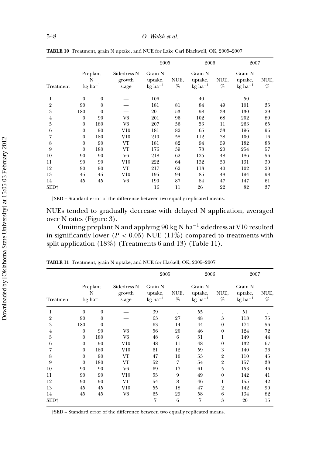| Treatment      |                                                     |                |                                |                                                          | 2005<br>2006 |                                                          |           | 2007                                                     |           |
|----------------|-----------------------------------------------------|----------------|--------------------------------|----------------------------------------------------------|--------------|----------------------------------------------------------|-----------|----------------------------------------------------------|-----------|
|                | Preplant<br>N<br>$kg$ ha <sup><math>-1</math></sup> |                | Sidedress N<br>growth<br>stage | Grain N<br>uptake,<br>$kg$ ha <sup><math>-1</math></sup> | NUE,<br>%    | Grain N<br>uptake,<br>$kg$ ha <sup><math>-1</math></sup> | NUE,<br>% | Grain N<br>uptake,<br>$kg$ ha <sup><math>-1</math></sup> | NUE,<br>% |
| 1              | $\theta$                                            | $\overline{0}$ |                                | 106                                                      |              | 40                                                       |           | 50                                                       |           |
| $\overline{2}$ | 90                                                  | $\overline{0}$ |                                | 181                                                      | 81           | 84                                                       | 49        | 101                                                      | 35        |
| 3              | 180                                                 | $\overline{0}$ |                                | 201                                                      | 53           | 98                                                       | 33        | 130                                                      | 29        |
| $\overline{4}$ | $\boldsymbol{0}$                                    | 90             | V6                             | 201                                                      | 96           | 102                                                      | 68        | 202                                                      | 89        |
| 5              | $\theta$                                            | 180            | V6                             | 207                                                      | 56           | 53                                                       | 11        | 263                                                      | 65        |
| 6              | $\mathbf{0}$                                        | 90             | $_{\mathrm{V10}}$              | 181                                                      | 82           | 65                                                       | 33        | 196                                                      | 96        |
| 7              | $\boldsymbol{0}$                                    | 180            | V10                            | 210                                                      | 58           | 112                                                      | 38        | 100                                                      | 16        |
| 8              | $\theta$                                            | 90             | VT                             | 181                                                      | 82           | 94                                                       | 59        | 182                                                      | 83        |
| 9              | $\overline{0}$                                      | 180            | VT                             | 176                                                      | 39           | 78                                                       | 20        | 254                                                      | 57        |
| 10             | 90                                                  | 90             | V <sub>6</sub>                 | 218                                                      | 62           | 125                                                      | 48        | 186                                                      | 56        |
| 11             | 90                                                  | 90             | V10                            | 222                                                      | 64           | 132                                                      | 50        | 131                                                      | 30        |
| 12             | 90                                                  | 90             | VT                             | 217                                                      | 62           | 113                                                      | 40        | 102                                                      | 20        |
| 13             | 45                                                  | 45             | V10                            | 195                                                      | 94           | 85                                                       | 48        | 194                                                      | 98        |
| 14             | 45                                                  | 45             | V6                             | 190                                                      | 87           | 84                                                       | 47        | 147                                                      | 61        |
| SED†           |                                                     |                |                                | 16                                                       | 11           | 26                                                       | 22        | 82                                                       | 37        |

**TABLE 10** Treatment, grain N uptake, and NUE for Lake Carl Blackwell, OK, 2005–2007

NUEs tended to gradually decrease with delayed N application, averaged over N rates (Figure 3).

Omitting preplant N and applying 90 kg N ha−<sup>1</sup> sidedress at V10 resulted in significantly lower ( $P < 0.05$ ) NUE (11%) compared to treatments with split application (18%) (Treatments 6 and 13) (Table 11).

| Treatment      |                                                     |                  |                                | 2005                                                     |           | 2006                                                     |                | 2007                                                     |           |
|----------------|-----------------------------------------------------|------------------|--------------------------------|----------------------------------------------------------|-----------|----------------------------------------------------------|----------------|----------------------------------------------------------|-----------|
|                | Preplant<br>N<br>$kg$ ha <sup><math>-1</math></sup> |                  | Sidedress N<br>growth<br>stage | Grain N<br>uptake,<br>$kg$ ha <sup><math>-1</math></sup> | NUE,<br>% | Grain N<br>uptake,<br>$kg$ ha <sup><math>-1</math></sup> | NUE,<br>%      | Grain N<br>uptake,<br>$kg$ ha <sup><math>-1</math></sup> | NUE,<br>% |
| 1              | $\theta$                                            | $\boldsymbol{0}$ |                                | 39                                                       |           | 55                                                       |                | 51                                                       |           |
| $\overline{2}$ | 90                                                  | $\mathbf{0}$     |                                | 63                                                       | 27        | 48                                                       | 3              | 118                                                      | 75        |
| 3              | 180                                                 | $\theta$         |                                | 63                                                       | 14        | 44                                                       | $\mathbf{0}$   | 174                                                      | 56        |
| 4              | $\theta$                                            | 90               | V6                             | 56                                                       | 20        | 46                                                       | $\theta$       | 124                                                      | 72        |
| 5              | $\mathbf{0}$                                        | 180              | V6                             | 48                                                       | 6         | 51                                                       | 1              | 149                                                      | 44        |
| 6              | $\theta$                                            | 90               | V10                            | 48                                                       | 11        | 48                                                       | $\theta$       | 132                                                      | 67        |
| 7              | $\mathbf{0}$                                        | 180              | $_{\mathrm{V10}}$              | 61                                                       | 12        | 59                                                       | 3              | 140                                                      | 36        |
| 8              | $\boldsymbol{0}$                                    | 90               | VT                             | 47                                                       | 10        | 53                                                       | $\overline{2}$ | 110                                                      | 45        |
| 9              | $\theta$                                            | 180              | VT                             | 52                                                       | 7         | 54                                                       | $\overline{2}$ | 157                                                      | 38        |
| 10             | 90                                                  | 90               | V <sub>6</sub>                 | 69                                                       | 17        | 61                                                       | 5              | 153                                                      | 46        |
| 11             | 90                                                  | 90               | $_{\mathrm{V10}}$              | 55                                                       | 9         | 49                                                       | $\theta$       | 142                                                      | 41        |
| 12             | 90                                                  | 90               | VT                             | 54                                                       | 8         | 46                                                       | 1              | 155                                                      | 42        |
| 13             | 45                                                  | 45               | V10                            | 55                                                       | 18        | 47                                                       | $\overline{2}$ | 142                                                      | 90        |
| 14             | 45                                                  | 45               | V6                             | 65                                                       | 29        | 58                                                       | 6              | 134                                                      | 82        |
| SED†           |                                                     |                  |                                | 7                                                        | 6         | 7                                                        | 3              | 20                                                       | 15        |

**TABLE 11** Treatment, grain N uptake, and NUE for Haskell, OK, 2005–2007

*†*SED – Standard error of the difference between two equally replicated means.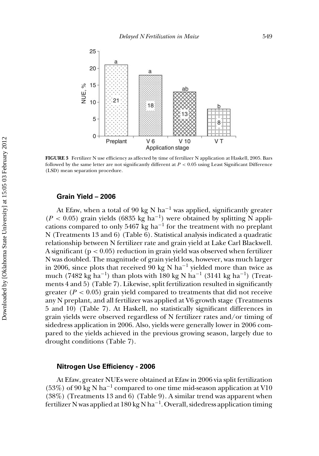

**FIGURE 3** Fertilizer N use efficiency as affected by time of fertilizer N application at Haskell, 2005. Bars followed by the same letter are not significantly different at *P <* 0.05 using Least Significant Difference (LSD) mean separation procedure.

#### **Grain Yield – 2006**

At Efaw, when a total of 90 kg N ha<sup>-1</sup> was applied, significantly greater ( $P < 0.05$ ) grain yields (6835 kg ha<sup>-1</sup>) were obtained by splitting N applications compared to only 5467 kg ha<sup> $-1$ </sup> for the treatment with no preplant N (Treatments 13 and 6) (Table 6). Statistical analysis indicated a quadratic relationship between N fertilizer rate and grain yield at Lake Carl Blackwell. A significant (p *<* 0.05) reduction in grain yield was observed when fertilizer N was doubled. The magnitude of grain yield loss, however, was much larger in 2006, since plots that received 90 kg N ha<sup>-1</sup> yielded more than twice as much (7482 kg ha<sup>-1</sup>) than plots with 180 kg N ha<sup>-1</sup> (3141 kg ha<sup>-1</sup>) (Treatments 4 and 5) (Table 7). Likewise, split fertilization resulted in significantly greater ( $P < 0.05$ ) grain yield compared to treatments that did not receive any N preplant, and all fertilizer was applied at V6 growth stage (Treatments 5 and 10) (Table 7). At Haskell, no statistically significant differences in grain yields were observed regardless of N fertilizer rates and/or timing of sidedress application in 2006. Also, yields were generally lower in 2006 compared to the yields achieved in the previous growing season, largely due to drought conditions (Table 7).

#### **Nitrogen Use Efficiency - 2006**

At Efaw, greater NUEs were obtained at Efaw in 2006 via split fertilization  $(53%)$  of 90 kg N ha<sup>-1</sup> compared to one time mid-season application at V10 (38%) (Treatments 13 and 6) (Table 9). A similar trend was apparent when fertilizer N was applied at 180 kg N ha<sup>-1</sup>. Overall, sidedress application timing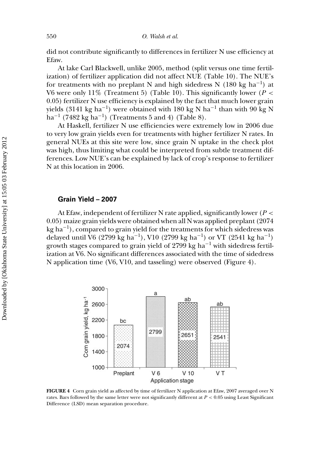did not contribute significantly to differences in fertilizer N use efficiency at Efaw.

At lake Carl Blackwell, unlike 2005, method (split versus one time fertilization) of fertilizer application did not affect NUE (Table 10). The NUE's for treatments with no preplant N and high sidedress N (180 kg ha<sup>-1</sup>) at V6 were only 11% (Treatment 5) (Table 10). This significantly lower (*P <* 0.05) fertilizer N use efficiency is explained by the fact that much lower grain yields (3141 kg ha<sup>-1</sup>) were obtained with 180 kg N ha<sup>-1</sup> than with 90 kg N  $ha^{-1}$  (7482 kg  $ha^{-1}$ ) (Treatments 5 and 4) (Table 8).

At Haskell, fertilizer N use efficiencies were extremely low in 2006 due to very low grain yields even for treatments with higher fertilizer N rates. In general NUEs at this site were low, since grain N uptake in the check plot was high, thus limiting what could be interpreted from subtle treatment differences. Low NUE's can be explained by lack of crop's response to fertilizer N at this location in 2006.

#### **Grain Yield – 2007**

At Efaw, independent of fertilizer N rate applied, significantly lower (*P <* 0.05) maize grain yields were obtained when all N was applied preplant (2074 kg ha−1), compared to grain yield for the treatments for which sidedress was delayed until V6 (2799 kg ha−1), V10 (2799 kg ha−1) or VT (2541 kg ha−1) growth stages compared to grain yield of 2799 kg ha−<sup>1</sup> with sidedress fertilization at V6. No significant differences associated with the time of sidedress N application time (V6, V10, and tasseling) were observed (Figure 4).



**FIGURE 4** Corn grain yield as affected by time of fertilizer N application at Efaw, 2007 averaged over N rates. Bars followed by the same letter were not significantly different at *P <* 0.05 using Least Significant Difference (LSD) mean separation procedure.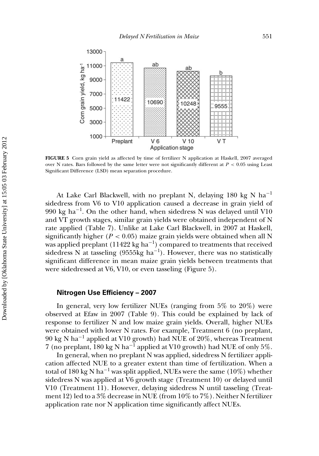

**FIGURE 5** Corn grain yield as affected by time of fertilizer N application at Haskell, 2007 averaged over N rates. Bars followed by the same letter were not significantly different at *P <* 0.05 using Least Significant Difference (LSD) mean separation procedure.

At Lake Carl Blackwell, with no preplant N, delaying 180 kg N ha−<sup>1</sup> sidedress from V6 to V10 application caused a decrease in grain yield of 990 kg ha<sup>-1</sup>. On the other hand, when sidedress N was delayed until V10 and VT growth stages, similar grain yields were obtained independent of N rate applied (Table 7). Unlike at Lake Carl Blackwell, in 2007 at Haskell, significantly higher  $(P < 0.05)$  maize grain yields were obtained when all N was applied preplant (11422 kg ha<sup>-1</sup>) compared to treatments that received sidedress N at tasseling (9555kg ha<sup>-1</sup>). However, there was no statistically significant difference in mean maize grain yields between treatments that were sidedressed at V6, V10, or even tasseling (Figure 5).

#### **Nitrogen Use Efficiency – 2007**

In general, very low fertilizer NUEs (ranging from 5% to 20%) were observed at Efaw in 2007 (Table 9). This could be explained by lack of response to fertilizer N and low maize grain yields. Overall, higher NUEs were obtained with lower N rates. For example, Treatment 6 (no preplant,  $90 \text{ kg N} \text{ ha}^{-1}$  applied at V10 growth) had NUE of 20%, whereas Treatment 7 (no preplant, 180 kg N ha<sup>-1</sup> applied at V10 growth) had NUE of only 5%.

In general, when no preplant N was applied, sidedress N fertilizer application affected NUE to a greater extent than time of fertilization. When a total of 180 kg N ha<sup>-1</sup> was split applied, NUEs were the same (10%) whether sidedress N was applied at V6 growth stage (Treatment 10) or delayed until V10 (Treatment 11). However, delaying sidedress N until tasseling (Treatment 12) led to a 3% decrease in NUE (from 10% to 7%). Neither N fertilizer application rate nor N application time significantly affect NUEs.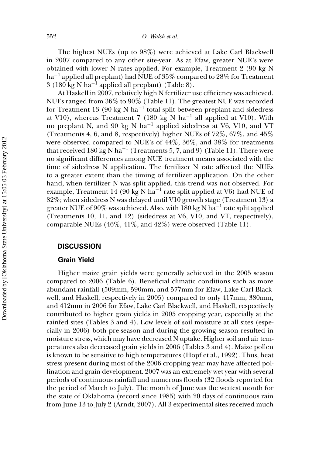The highest NUEs (up to 98%) were achieved at Lake Carl Blackwell in 2007 compared to any other site-year. As at Efaw, greater NUE's were obtained with lower N rates applied. For example, Treatment 2 (90 kg N ha−<sup>1</sup> applied all preplant) had NUE of 35% compared to 28% for Treatment 3 (180 kg N ha<sup>-1</sup> applied all preplant) (Table 8).

At Haskell in 2007, relatively high N fertilizer use efficiency was achieved. NUEs ranged from 36% to 90% (Table 11). The greatest NUE was recorded for Treatment 13 (90 kg N ha−<sup>1</sup> total split between preplant and sidedress at V10), whereas Treatment 7 (180 kg N ha<sup>-1</sup> all applied at V10). With no preplant N, and 90 kg N ha−<sup>1</sup> applied sidedress at V6, V10, and VT (Treatments 4, 6, and 8, respectively) higher NUEs of 72%, 67%, and 45% were observed compared to NUE's of 44%, 36%, and 38% for treatments that received 180 kg N ha<sup>-1</sup> (Treatments 5, 7, and 9) (Table 11). There were no significant differences among NUE treatment means associated with the time of sidedress N application. The fertilizer N rate affected the NUEs to a greater extent than the timing of fertilizer application. On the other hand, when fertilizer N was split applied, this trend was not observed. For example, Treatment 14 (90 kg N ha<sup> $-1$ </sup> rate split applied at V6) had NUE of 82%; when sidedress N was delayed until V10 growth stage (Treatment 13) a greater NUE of 90% was achieved. Also, with 180 kg N ha<sup>-1</sup> rate split applied (Treatments 10, 11, and 12) (sidedress at V6, V10, and VT, respectively), comparable NUEs (46%, 41%, and 42%) were observed (Table 11).

# **DISCUSSION**

# **Grain Yield**

Higher maize grain yields were generally achieved in the 2005 season compared to 2006 (Table 6). Beneficial climatic conditions such as more abundant rainfall (509mm, 590mm, and 577mm for Efaw, Lake Carl Blackwell, and Haskell, respectively in 2005) compared to only 417mm, 380mm, and 412mm in 2006 for Efaw, Lake Carl Blackwell, and Haskell, respectively contributed to higher grain yields in 2005 cropping year, especially at the rainfed sites (Tables 3 and 4). Low levels of soil moisture at all sites (especially in 2006) both pre-season and during the growing season resulted in moisture stress, which may have decreased N uptake. Higher soil and air temperatures also decreased grain yields in 2006 (Tables 3 and 4). Maize pollen is known to be sensitive to high temperatures (Hopf et al., 1992). Thus, heat stress present during most of the 2006 cropping year may have affected pollination and grain development. 2007 was an extremely wet year with several periods of continuous rainfall and numerous floods (32 floods reported for the period of March to July). The month of June was the wettest month for the state of Oklahoma (record since 1985) with 20 days of continuous rain from June 13 to July 2 (Arndt, 2007). All 3 experimental sites received much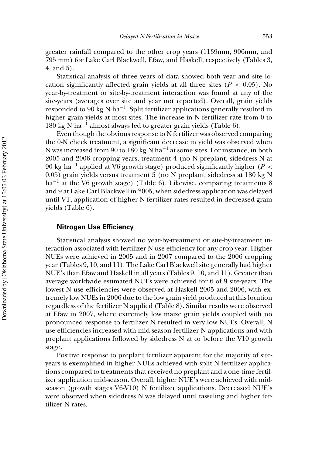greater rainfall compared to the other crop years (1139mm, 906mm, and 795 mm) for Lake Carl Blackwell, Efaw, and Haskell, respectively (Tables 3, 4, and 5).

Statistical analysis of three years of data showed both year and site location significantly affected grain yields at all three sites ( $P < 0.05$ ). No year-by-treatment or site-by-treatment interaction was found at any of the site-years (averages over site and year not reported). Overall, grain yields responded to 90 kg N ha−1. Split fertilizer applications generally resulted in higher grain yields at most sites. The increase in N fertilizer rate from 0 to 180 kg N ha−<sup>1</sup> almost always led to greater grain yields (Table 6).

Even though the obvious response to N fertilizer was observed comparing the 0-N check treatment, a significant decrease in yield was observed when N was increased from 90 to 180 kg N ha−<sup>1</sup> at some sites. For instance, in both 2005 and 2006 cropping years, treatment 4 (no N preplant, sidedress N at 90 kg ha−<sup>1</sup> applied at V6 growth stage) produced significantly higher (*P <* 0.05) grain yields versus treatment 5 (no N preplant, sidedress at 180 kg N  $ha^{-1}$  at the V6 growth stage) (Table 6). Likewise, comparing treatments 8 and 9 at Lake Carl Blackwell in 2005, when sidedress application was delayed until VT, application of higher N fertilizer rates resulted in decreased grain yields (Table 6).

## **Nitrogen Use Efficiency**

Statistical analysis showed no year-by-treatment or site-by-treatment interaction associated with fertilizer N use efficiency for any crop year. Higher NUEs were achieved in 2005 and in 2007 compared to the 2006 cropping year (Tables 9, 10, and 11). The Lake Carl Blackwell site generally had higher NUE's than Efaw and Haskell in all years (Tables 9, 10, and 11). Greater than average worldwide estimated NUEs were achieved for 6 of 9 site-years. The lowest N use efficiencies were observed at Haskell 2005 and 2006, with extremely low NUEs in 2006 due to the low grain yield produced at this location regardless of the fertilizer N applied (Table 8). Similar results were observed at Efaw in 2007, where extremely low maize grain yields coupled with no pronounced response to fertilizer N resulted in very low NUEs. Overall, N use efficiencies increased with mid-season fertilizer N applications and with preplant applications followed by sidedress N at or before the V10 growth stage.

Positive response to preplant fertilizer apparent for the majority of siteyears is exemplified in higher NUEs achieved with split N fertilizer applications compared to treatments that received no preplant and a one-time fertilizer application mid-season. Overall, higher NUE's were achieved with midseason (growth stages V6-V10) N fertilizer applications. Decreased NUE's were observed when sidedress N was delayed until tasseling and higher fertilizer N rates.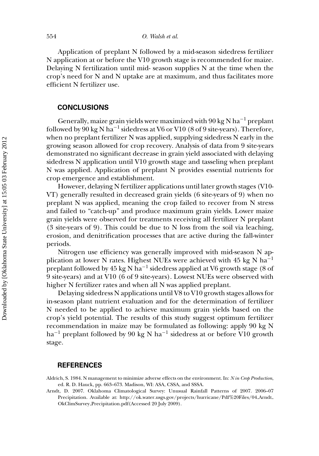Application of preplant N followed by a mid-season sidedress fertilizer N application at or before the V10 growth stage is recommended for maize. Delaying N fertilization until mid- season supplies N at the time when the crop's need for N and N uptake are at maximum, and thus facilitates more efficient N fertilizer use.

# **CONCLUSIONS**

Generally, maize grain yields were maximized with 90 kg N ha<sup>-1</sup> preplant followed by 90 kg N ha<sup>-1</sup> sidedress at V6 or V10 (8 of 9 site-years). Therefore, when no preplant fertilizer N was applied, supplying sidedress N early in the growing season allowed for crop recovery. Analysis of data from 9 site-years demonstrated no significant decrease in grain yield associated with delaying sidedress N application until V10 growth stage and tasseling when preplant N was applied. Application of preplant N provides essential nutrients for crop emergence and establishment.

However, delaying N fertilizer applications until later growth stages (V10- VT) generally resulted in decreased grain yields (6 site-years of 9) when no preplant N was applied, meaning the crop failed to recover from N stress and failed to "catch-up" and produce maximum grain yields. Lower maize grain yields were observed for treatments receiving all fertilizer N preplant (3 site-years of 9). This could be due to N loss from the soil via leaching, erosion, and denitrification processes that are active during the fall-winter periods.

Nitrogen use efficiency was generally improved with mid-season N application at lower N rates. Highest NUEs were achieved with 45 kg N ha<sup>-1</sup> preplant followed by 45 kg N ha<sup>-1</sup> sidedress applied at V6 growth stage (8 of 9 site-years) and at V10 (6 of 9 site-years). Lowest NUEs were observed with higher N fertilizer rates and when all N was applied preplant.

Delaying sidedress N applications until V8 to V10 growth stages allows for in-season plant nutrient evaluation and for the determination of fertilizer N needed to be applied to achieve maximum grain yields based on the crop's yield potential. The results of this study suggest optimum fertilizer recommendation in maize may be formulated as following: apply 90 kg N ha−<sup>1</sup> preplant followed by 90 kg N ha−<sup>1</sup> sidedress at or before V10 growth stage.

#### **REFERENCES**

Arndt, D. 2007. Oklahoma Climatological Survey: Unusual Rainfall Patterns of 2007. 2006–07 Precipitation. Available at: http://ok.water.usgs.gov/projects/hurricane/Pdf%20Files/04 Arndt OkClimSurvey Precipitation.pdf(Accessed 20 July 2009).

Aldrich, S. 1984. N management to minimize adverse effects on the environment. In: *N in Crop Production*, ed. R. D. Hauck, pp. 663–673. Madison, WI: ASA, CSSA, and SSSA.